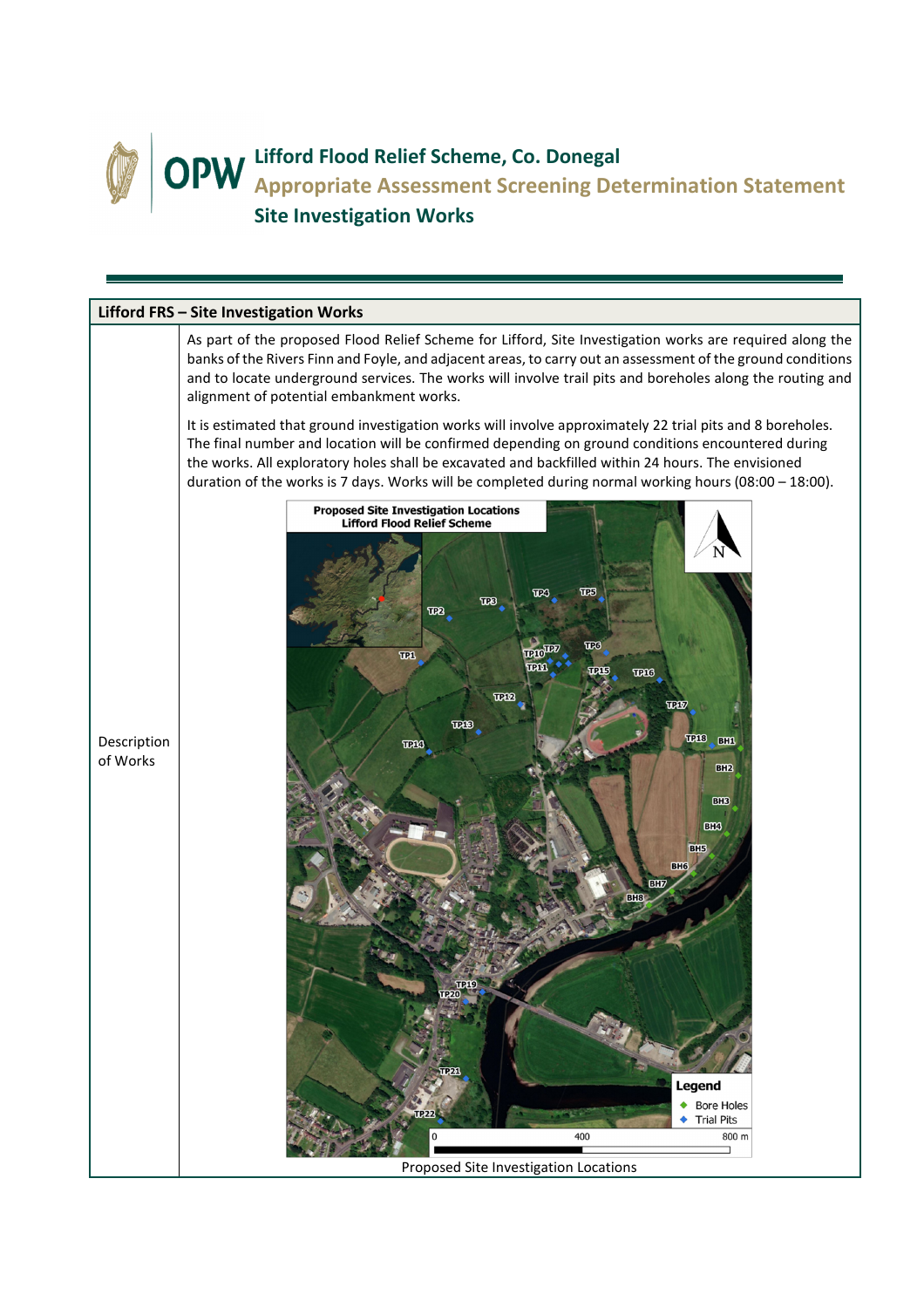